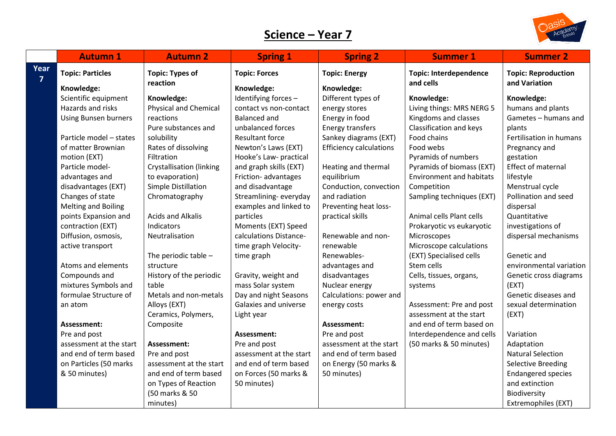## **Science – Year 7**



|                        | <b>Autumn 1</b>                       | <b>Autumn 2</b>                    | <b>Spring 1</b>                    | <b>Spring 2</b>                    | <b>Summer 1</b>                            | <b>Summer 2</b>                             |
|------------------------|---------------------------------------|------------------------------------|------------------------------------|------------------------------------|--------------------------------------------|---------------------------------------------|
| Year<br>$\overline{7}$ | <b>Topic: Particles</b><br>Knowledge: | <b>Topic: Types of</b><br>reaction | <b>Topic: Forces</b><br>Knowledge: | <b>Topic: Energy</b><br>Knowledge: | <b>Topic: Interdependence</b><br>and cells | <b>Topic: Reproduction</b><br>and Variation |
|                        | Scientific equipment                  | Knowledge:                         | Identifying forces -               | Different types of                 | Knowledge:                                 | Knowledge:                                  |
|                        | Hazards and risks                     | <b>Physical and Chemical</b>       | contact vs non-contact             | energy stores                      | Living things: MRS NERG 5                  | humans and plants                           |
|                        | <b>Using Bunsen burners</b>           | reactions                          | <b>Balanced and</b>                | Energy in food                     | Kingdoms and classes                       | Gametes - humans and                        |
|                        |                                       | Pure substances and                | unbalanced forces                  | <b>Energy transfers</b>            | Classification and keys                    | plants                                      |
|                        | Particle model - states               | solubility                         | <b>Resultant force</b>             | Sankey diagrams (EXT)              | Food chains                                | Fertilisation in humans                     |
|                        | of matter Brownian                    | Rates of dissolving                | Newton's Laws (EXT)                | <b>Efficiency calculations</b>     | Food webs                                  | Pregnancy and                               |
|                        | motion (EXT)                          | Filtration                         | Hooke's Law- practical             |                                    | Pyramids of numbers                        | gestation                                   |
|                        | Particle model-                       | <b>Crystallisation (linking</b>    | and graph skills (EXT)             | Heating and thermal                | Pyramids of biomass (EXT)                  | <b>Effect of maternal</b>                   |
|                        | advantages and                        | to evaporation)                    | Friction- advantages               | equilibrium                        | <b>Environment and habitats</b>            | lifestyle                                   |
|                        | disadvantages (EXT)                   | Simple Distillation                | and disadvantage                   | Conduction, convection             | Competition                                | Menstrual cycle                             |
|                        | Changes of state                      | Chromatography                     | Streamlining-everyday              | and radiation                      | Sampling techniques (EXT)                  | Pollination and seed                        |
|                        | <b>Melting and Boiling</b>            |                                    | examples and linked to             | Preventing heat loss-              |                                            | dispersal                                   |
|                        | points Expansion and                  | <b>Acids and Alkalis</b>           | particles                          | practical skills                   | Animal cells Plant cells                   | Quantitative                                |
|                        | contraction (EXT)                     | Indicators                         | Moments (EXT) Speed                |                                    | Prokaryotic vs eukaryotic                  | investigations of                           |
|                        | Diffusion, osmosis,                   | Neutralisation                     | calculations Distance-             | Renewable and non-                 | Microscopes                                | dispersal mechanisms                        |
|                        | active transport                      |                                    | time graph Velocity-               | renewable                          | Microscope calculations                    |                                             |
|                        |                                       | The periodic table -               | time graph                         | Renewables-                        | (EXT) Specialised cells                    | Genetic and                                 |
|                        | Atoms and elements                    | structure                          |                                    | advantages and                     | Stem cells                                 | environmental variation                     |
|                        | Compounds and                         | History of the periodic            | Gravity, weight and                | disadvantages                      | Cells, tissues, organs,                    | Genetic cross diagrams                      |
|                        | mixtures Symbols and                  | table                              | mass Solar system                  | Nuclear energy                     | systems                                    | (EXT)                                       |
|                        | formulae Structure of                 | Metals and non-metals              | Day and night Seasons              | Calculations: power and            |                                            | Genetic diseases and                        |
|                        | an atom                               | Alloys (EXT)                       | Galaxies and universe              | energy costs                       | Assessment: Pre and post                   | sexual determination                        |
|                        |                                       | Ceramics, Polymers,                | Light year                         |                                    | assessment at the start                    | (EXT)                                       |
|                        | Assessment:                           | Composite                          |                                    | Assessment:                        | and end of term based on                   |                                             |
|                        | Pre and post                          |                                    | Assessment:                        | Pre and post                       | Interdependence and cells                  | Variation                                   |
|                        | assessment at the start               | Assessment:                        | Pre and post                       | assessment at the start            | (50 marks & 50 minutes)                    | Adaptation                                  |
|                        | and end of term based                 | Pre and post                       | assessment at the start            | and end of term based              |                                            | <b>Natural Selection</b>                    |
|                        | on Particles (50 marks                | assessment at the start            | and end of term based              | on Energy (50 marks &              |                                            | <b>Selective Breeding</b>                   |
|                        | & 50 minutes)                         | and end of term based              | on Forces (50 marks &              | 50 minutes)                        |                                            | <b>Endangered species</b>                   |
|                        |                                       | on Types of Reaction               | 50 minutes)                        |                                    |                                            | and extinction                              |
|                        |                                       | (50 marks & 50                     |                                    |                                    |                                            | Biodiversity                                |
|                        |                                       | minutes)                           |                                    |                                    |                                            | Extremophiles (EXT)                         |